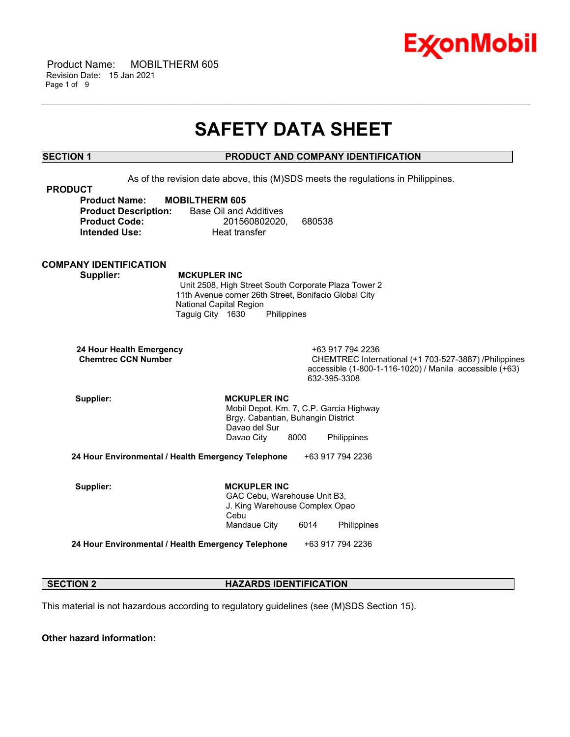

 Product Name: MOBILTHERM 605 Revision Date: 15 Jan 2021 Page 1 of 9

## **SAFETY DATA SHEET**

\_\_\_\_\_\_\_\_\_\_\_\_\_\_\_\_\_\_\_\_\_\_\_\_\_\_\_\_\_\_\_\_\_\_\_\_\_\_\_\_\_\_\_\_\_\_\_\_\_\_\_\_\_\_\_\_\_\_\_\_\_\_\_\_\_\_\_\_\_\_\_\_\_\_\_\_\_\_\_\_\_\_\_\_\_\_\_\_\_\_\_\_\_\_\_\_\_\_\_\_\_\_\_\_\_\_\_\_\_\_\_\_\_\_\_\_\_\_

### **SECTION 1 PRODUCT AND COMPANY IDENTIFICATION**

As of the revision date above, this (M)SDS meets the regulations in Philippines.

| <b>PRODUCT</b>              |                        |        |
|-----------------------------|------------------------|--------|
| <b>Product Name:</b>        | <b>MOBILTHERM 605</b>  |        |
| <b>Product Description:</b> | Base Oil and Additives |        |
| <b>Product Code:</b>        | 201560802020.          | 680538 |
| <b>Intended Use:</b>        | Heat transfer          |        |

### **COMPANY IDENTIFICATION**

 **Supplier: MCKUPLER INC** Unit 2508, High Street South Corporate Plaza Tower 2 11th Avenue corner 26th Street, Bonifacio Global City National Capital Region Taguig City 1630 Philippines

 **24 Hour Health Emergency** +63 917 794 2236

CHEMTREC International (+1 703-527-3887) /Philippines accessible (1-800-1-116-1020) / Manila accessible (+63) 632-395-3308

Supplier: **MCKUPLER INC**  Mobil Depot, Km. 7, C.P. Garcia Highway Brgy. Cabantian, Buhangin District Davao del Sur Davao City 8000 Philippines

**24 Hour Environmental / Health Emergency Telephone** +63 917 794 2236

Supplier: **MCKUPLER INC**  GAC Cebu, Warehouse Unit B3, J. King Warehouse Complex Opao Cebu Mandaue City 6014 Philippines

**24 Hour Environmental / Health Emergency Telephone** +63 917 794 2236

#### **SECTION 2 HAZARDS IDENTIFICATION**

This material is not hazardous according to regulatory guidelines (see (M)SDS Section 15).

**Other hazard information:**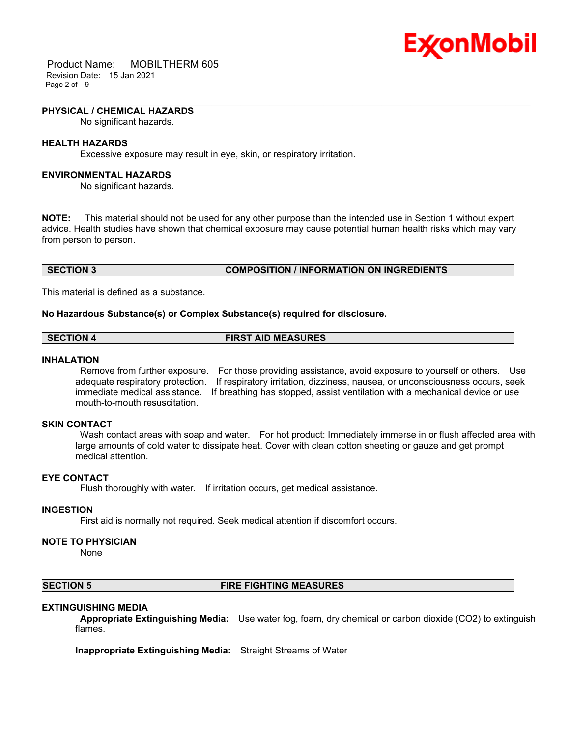

 Product Name: MOBILTHERM 605 Revision Date: 15 Jan 2021 Page 2 of 9

#### **PHYSICAL / CHEMICAL HAZARDS**

No significant hazards.

### **HEALTH HAZARDS**

Excessive exposure may result in eye, skin, or respiratory irritation.

#### **ENVIRONMENTAL HAZARDS**

No significant hazards.

**NOTE:** This material should not be used for any other purpose than the intended use in Section 1 without expert advice. Health studies have shown that chemical exposure may cause potential human health risks which may vary from person to person.

\_\_\_\_\_\_\_\_\_\_\_\_\_\_\_\_\_\_\_\_\_\_\_\_\_\_\_\_\_\_\_\_\_\_\_\_\_\_\_\_\_\_\_\_\_\_\_\_\_\_\_\_\_\_\_\_\_\_\_\_\_\_\_\_\_\_\_\_\_\_\_\_\_\_\_\_\_\_\_\_\_\_\_\_\_\_\_\_\_\_\_\_\_\_\_\_\_\_\_\_\_\_\_\_\_\_\_\_\_\_\_\_\_\_\_\_\_\_

#### **SECTION 3 COMPOSITION / INFORMATION ON INGREDIENTS**

This material is defined as a substance.

#### **No Hazardous Substance(s) or Complex Substance(s) required for disclosure.**

| <b>SECTION 4</b> | <b>FIRST AID MEASURES</b> |
|------------------|---------------------------|
|                  |                           |

#### **INHALATION**

 Remove from further exposure. For those providing assistance, avoid exposure to yourself or others. Use adequate respiratory protection. If respiratory irritation, dizziness, nausea, or unconsciousness occurs, seek immediate medical assistance. If breathing has stopped, assist ventilation with a mechanical device or use mouth-to-mouth resuscitation.

#### **SKIN CONTACT**

Wash contact areas with soap and water. For hot product: Immediately immerse in or flush affected area with large amounts of cold water to dissipate heat. Cover with clean cotton sheeting or gauze and get prompt medical attention.

#### **EYE CONTACT**

Flush thoroughly with water. If irritation occurs, get medical assistance.

#### **INGESTION**

First aid is normally not required. Seek medical attention if discomfort occurs.

#### **NOTE TO PHYSICIAN**

None

#### **SECTION 5 FIRE FIGHTING MEASURES**

#### **EXTINGUISHING MEDIA**

 **Appropriate Extinguishing Media:** Use water fog, foam, dry chemical or carbon dioxide (CO2) to extinguish flames.

**Inappropriate Extinguishing Media:** Straight Streams of Water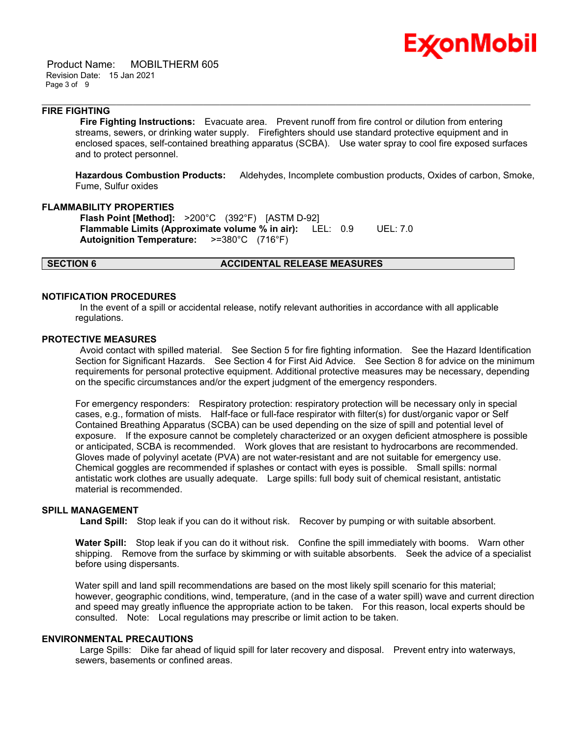

 Product Name: MOBILTHERM 605 Revision Date: 15 Jan 2021 Page 3 of 9

#### **FIRE FIGHTING**

 **Fire Fighting Instructions:** Evacuate area. Prevent runoff from fire control or dilution from entering streams, sewers, or drinking water supply. Firefighters should use standard protective equipment and in enclosed spaces, self-contained breathing apparatus (SCBA). Use water spray to cool fire exposed surfaces and to protect personnel.

\_\_\_\_\_\_\_\_\_\_\_\_\_\_\_\_\_\_\_\_\_\_\_\_\_\_\_\_\_\_\_\_\_\_\_\_\_\_\_\_\_\_\_\_\_\_\_\_\_\_\_\_\_\_\_\_\_\_\_\_\_\_\_\_\_\_\_\_\_\_\_\_\_\_\_\_\_\_\_\_\_\_\_\_\_\_\_\_\_\_\_\_\_\_\_\_\_\_\_\_\_\_\_\_\_\_\_\_\_\_\_\_\_\_\_\_\_\_

**Hazardous Combustion Products:** Aldehydes, Incomplete combustion products, Oxides of carbon, Smoke, Fume, Sulfur oxides

#### **FLAMMABILITY PROPERTIES**

 **Flash Point [Method]:** >200°C (392°F) [ASTM D-92]  **Flammable Limits (Approximate volume % in air):** LEL: 0.9 UEL: 7.0  **Autoignition Temperature:** >=380°C (716°F)

#### **SECTION 6 ACCIDENTAL RELEASE MEASURES**

#### **NOTIFICATION PROCEDURES**

 In the event of a spill or accidental release, notify relevant authorities in accordance with all applicable regulations.

#### **PROTECTIVE MEASURES**

 Avoid contact with spilled material. See Section 5 for fire fighting information. See the Hazard Identification Section for Significant Hazards. See Section 4 for First Aid Advice. See Section 8 for advice on the minimum requirements for personal protective equipment. Additional protective measures may be necessary, depending on the specific circumstances and/or the expert judgment of the emergency responders.

For emergency responders: Respiratory protection: respiratory protection will be necessary only in special cases, e.g., formation of mists. Half-face or full-face respirator with filter(s) for dust/organic vapor or Self Contained Breathing Apparatus (SCBA) can be used depending on the size of spill and potential level of exposure. If the exposure cannot be completely characterized or an oxygen deficient atmosphere is possible or anticipated, SCBA is recommended. Work gloves that are resistant to hydrocarbons are recommended. Gloves made of polyvinyl acetate (PVA) are not water-resistant and are not suitable for emergency use. Chemical goggles are recommended if splashes or contact with eyes is possible. Small spills: normal antistatic work clothes are usually adequate. Large spills: full body suit of chemical resistant, antistatic material is recommended.

#### **SPILL MANAGEMENT**

 **Land Spill:** Stop leak if you can do it without risk. Recover by pumping or with suitable absorbent.

**Water Spill:** Stop leak if you can do it without risk. Confine the spill immediately with booms. Warn other shipping. Remove from the surface by skimming or with suitable absorbents. Seek the advice of a specialist before using dispersants.

Water spill and land spill recommendations are based on the most likely spill scenario for this material; however, geographic conditions, wind, temperature, (and in the case of a water spill) wave and current direction and speed may greatly influence the appropriate action to be taken. For this reason, local experts should be consulted. Note: Local regulations may prescribe or limit action to be taken.

#### **ENVIRONMENTAL PRECAUTIONS**

 Large Spills: Dike far ahead of liquid spill for later recovery and disposal. Prevent entry into waterways, sewers, basements or confined areas.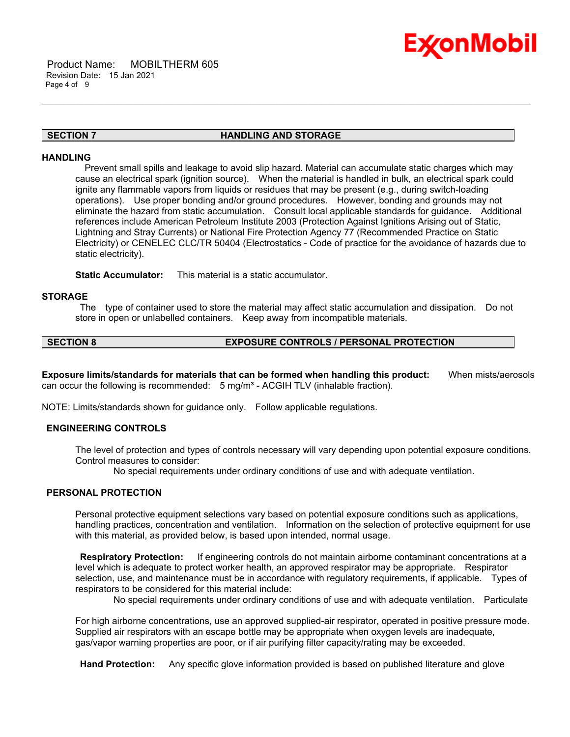

# Ex⁄onMobil

#### **SECTION 7 HANDLING AND STORAGE**

\_\_\_\_\_\_\_\_\_\_\_\_\_\_\_\_\_\_\_\_\_\_\_\_\_\_\_\_\_\_\_\_\_\_\_\_\_\_\_\_\_\_\_\_\_\_\_\_\_\_\_\_\_\_\_\_\_\_\_\_\_\_\_\_\_\_\_\_\_\_\_\_\_\_\_\_\_\_\_\_\_\_\_\_\_\_\_\_\_\_\_\_\_\_\_\_\_\_\_\_\_\_\_\_\_\_\_\_\_\_\_\_\_\_\_\_\_\_

#### **HANDLING**

 Prevent small spills and leakage to avoid slip hazard. Material can accumulate static charges which may cause an electrical spark (ignition source). When the material is handled in bulk, an electrical spark could ignite any flammable vapors from liquids or residues that may be present (e.g., during switch-loading operations). Use proper bonding and/or ground procedures. However, bonding and grounds may not eliminate the hazard from static accumulation. Consult local applicable standards for guidance. Additional references include American Petroleum Institute 2003 (Protection Against Ignitions Arising out of Static, Lightning and Stray Currents) or National Fire Protection Agency 77 (Recommended Practice on Static Electricity) or CENELEC CLC/TR 50404 (Electrostatics - Code of practice for the avoidance of hazards due to static electricity).

**Static Accumulator:** This material is a static accumulator.

#### **STORAGE**

 The type of container used to store the material may affect static accumulation and dissipation. Do not store in open or unlabelled containers. Keep away from incompatible materials.

#### **SECTION 8 EXPOSURE CONTROLS / PERSONAL PROTECTION**

**Exposure limits/standards for materials that can be formed when handling this product:** When mists/aerosols can occur the following is recommended: 5 mg/m<sup>3</sup> - ACGIH TLV (inhalable fraction).

NOTE: Limits/standards shown for guidance only. Follow applicable regulations.

#### **ENGINEERING CONTROLS**

The level of protection and types of controls necessary will vary depending upon potential exposure conditions. Control measures to consider:

No special requirements under ordinary conditions of use and with adequate ventilation.

### **PERSONAL PROTECTION**

Personal protective equipment selections vary based on potential exposure conditions such as applications, handling practices, concentration and ventilation. Information on the selection of protective equipment for use with this material, as provided below, is based upon intended, normal usage.

 **Respiratory Protection:** If engineering controls do not maintain airborne contaminant concentrations at a level which is adequate to protect worker health, an approved respirator may be appropriate. Respirator selection, use, and maintenance must be in accordance with regulatory requirements, if applicable. Types of respirators to be considered for this material include:

No special requirements under ordinary conditions of use and with adequate ventilation. Particulate

For high airborne concentrations, use an approved supplied-air respirator, operated in positive pressure mode. Supplied air respirators with an escape bottle may be appropriate when oxygen levels are inadequate, gas/vapor warning properties are poor, or if air purifying filter capacity/rating may be exceeded.

 **Hand Protection:** Any specific glove information provided is based on published literature and glove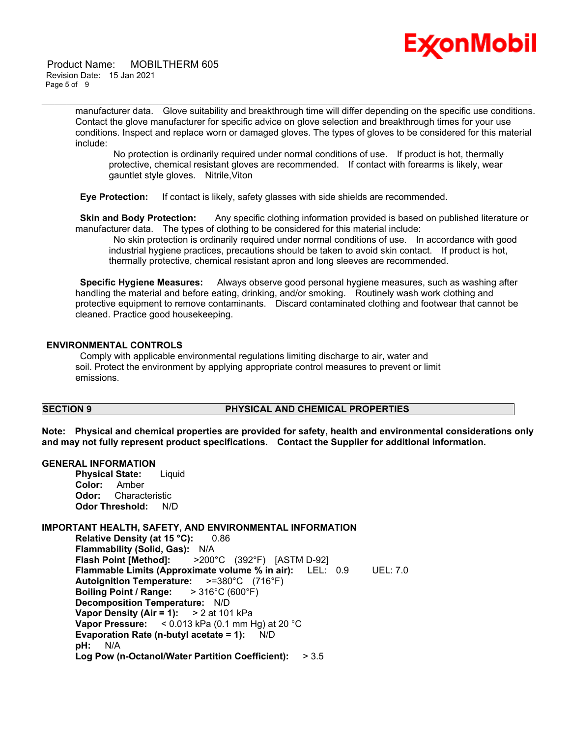

 Product Name: MOBILTHERM 605 Revision Date: 15 Jan 2021 Page 5 of 9

> manufacturer data. Glove suitability and breakthrough time will differ depending on the specific use conditions. Contact the glove manufacturer for specific advice on glove selection and breakthrough times for your use conditions. Inspect and replace worn or damaged gloves. The types of gloves to be considered for this material include:

\_\_\_\_\_\_\_\_\_\_\_\_\_\_\_\_\_\_\_\_\_\_\_\_\_\_\_\_\_\_\_\_\_\_\_\_\_\_\_\_\_\_\_\_\_\_\_\_\_\_\_\_\_\_\_\_\_\_\_\_\_\_\_\_\_\_\_\_\_\_\_\_\_\_\_\_\_\_\_\_\_\_\_\_\_\_\_\_\_\_\_\_\_\_\_\_\_\_\_\_\_\_\_\_\_\_\_\_\_\_\_\_\_\_\_\_\_\_

 No protection is ordinarily required under normal conditions of use. If product is hot, thermally protective, chemical resistant gloves are recommended. If contact with forearms is likely, wear gauntlet style gloves. Nitrile,Viton

 **Eye Protection:** If contact is likely, safety glasses with side shields are recommended.

**Skin and Body Protection:** Any specific clothing information provided is based on published literature or manufacturer data. The types of clothing to be considered for this material include:

 No skin protection is ordinarily required under normal conditions of use. In accordance with good industrial hygiene practices, precautions should be taken to avoid skin contact. If product is hot, thermally protective, chemical resistant apron and long sleeves are recommended.

 **Specific Hygiene Measures:** Always observe good personal hygiene measures, such as washing after handling the material and before eating, drinking, and/or smoking. Routinely wash work clothing and protective equipment to remove contaminants. Discard contaminated clothing and footwear that cannot be cleaned. Practice good housekeeping.

#### **ENVIRONMENTAL CONTROLS**

 Comply with applicable environmental regulations limiting discharge to air, water and soil. Protect the environment by applying appropriate control measures to prevent or limit emissions.

#### **SECTION 9 PHYSICAL AND CHEMICAL PROPERTIES**

**Note: Physical and chemical properties are provided for safety, health and environmental considerations only and may not fully represent product specifications. Contact the Supplier for additional information.**

#### **GENERAL INFORMATION**

**Physical State:** Liquid **Color:** Amber **Odor:** Characteristic **Odor Threshold:** N/D

#### **IMPORTANT HEALTH, SAFETY, AND ENVIRONMENTAL INFORMATION**

**Relative Density (at 15 °C):** 0.86 **Flammability (Solid, Gas):** N/A **Flash Point [Method]:** >200°C (392°F) [ASTM D-92] **Flammable Limits (Approximate volume % in air):** LEL: 0.9 UEL: 7.0 **Autoignition Temperature:** >=380°C (716°F) **Boiling Point / Range:** > 316°C (600°F) **Decomposition Temperature:** N/D **Vapor Density (Air = 1):** > 2 at 101 kPa **Vapor Pressure:** < 0.013 kPa (0.1 mm Hg) at 20 °C **Evaporation Rate (n-butyl acetate = 1):** N/D **pH:** N/A **Log Pow (n-Octanol/Water Partition Coefficient):** > 3.5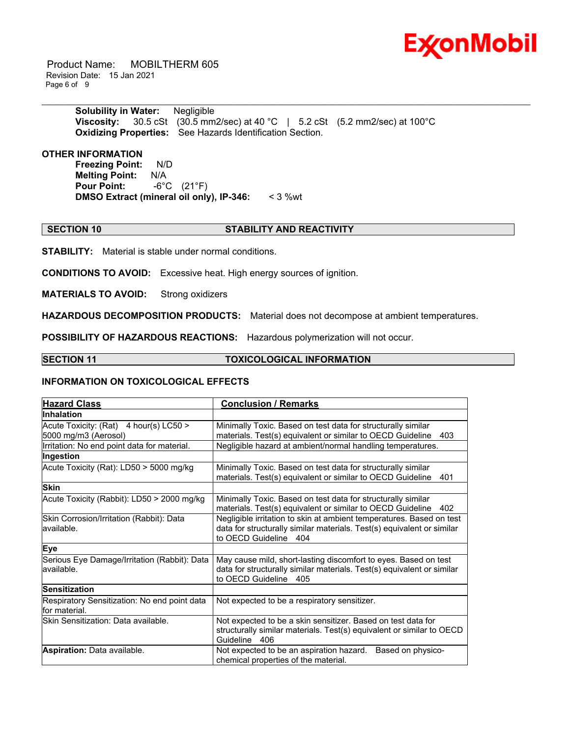

 Product Name: MOBILTHERM 605 Revision Date: 15 Jan 2021 Page 6 of 9

> **Solubility in Water:** Negligible **Viscosity:** 30.5 cSt (30.5 mm2/sec) at 40 °C | 5.2 cSt (5.2 mm2/sec) at 100°C **Oxidizing Properties:** See Hazards Identification Section.

#### **OTHER INFORMATION**

**Freezing Point:** N/D **Melting Point: N/A<br>Pour Point: -6°C Pour Point:** -6°C (21°F) **DMSO Extract (mineral oil only), IP-346:** < 3 %wt

#### **SECTION 10 STABILITY AND REACTIVITY**

\_\_\_\_\_\_\_\_\_\_\_\_\_\_\_\_\_\_\_\_\_\_\_\_\_\_\_\_\_\_\_\_\_\_\_\_\_\_\_\_\_\_\_\_\_\_\_\_\_\_\_\_\_\_\_\_\_\_\_\_\_\_\_\_\_\_\_\_\_\_\_\_\_\_\_\_\_\_\_\_\_\_\_\_\_\_\_\_\_\_\_\_\_\_\_\_\_\_\_\_\_\_\_\_\_\_\_\_\_\_\_\_\_\_\_\_\_\_

**STABILITY:** Material is stable under normal conditions.

**CONDITIONS TO AVOID:** Excessive heat. High energy sources of ignition.

**MATERIALS TO AVOID:** Strong oxidizers

**HAZARDOUS DECOMPOSITION PRODUCTS:** Material does not decompose at ambient temperatures.

**POSSIBILITY OF HAZARDOUS REACTIONS:** Hazardous polymerization will not occur.

### **SECTION 11 TOXICOLOGICAL INFORMATION**

#### **INFORMATION ON TOXICOLOGICAL EFFECTS**

| <b>Hazard Class</b>                                            | <b>Conclusion / Remarks</b>                                                                                                                                             |  |  |
|----------------------------------------------------------------|-------------------------------------------------------------------------------------------------------------------------------------------------------------------------|--|--|
| <b>Inhalation</b>                                              |                                                                                                                                                                         |  |  |
| Acute Toxicity: (Rat) 4 hour(s) LC50 ><br>5000 mg/m3 (Aerosol) | Minimally Toxic. Based on test data for structurally similar<br>materials. Test(s) equivalent or similar to OECD Guideline<br>403                                       |  |  |
| Irritation: No end point data for material.                    | Negligible hazard at ambient/normal handling temperatures.                                                                                                              |  |  |
| Ingestion                                                      |                                                                                                                                                                         |  |  |
| Acute Toxicity (Rat): LD50 > 5000 mg/kg                        | Minimally Toxic. Based on test data for structurally similar<br>materials. Test(s) equivalent or similar to OECD Guideline<br>401                                       |  |  |
| <b>Skin</b>                                                    |                                                                                                                                                                         |  |  |
| Acute Toxicity (Rabbit): LD50 > 2000 mg/kg                     | Minimally Toxic. Based on test data for structurally similar<br>materials. Test(s) equivalent or similar to OECD Guideline<br>402                                       |  |  |
| Skin Corrosion/Irritation (Rabbit): Data<br>available.         | Negligible irritation to skin at ambient temperatures. Based on test<br>data for structurally similar materials. Test(s) equivalent or similar<br>to OECD Guideline 404 |  |  |
| Eye                                                            |                                                                                                                                                                         |  |  |
| Serious Eye Damage/Irritation (Rabbit): Data<br>available.     | May cause mild, short-lasting discomfort to eyes. Based on test<br>data for structurally similar materials. Test(s) equivalent or similar<br>to OECD Guideline 405      |  |  |
| <b>Sensitization</b>                                           |                                                                                                                                                                         |  |  |
| Respiratory Sensitization: No end point data<br>for material.  | Not expected to be a respiratory sensitizer.                                                                                                                            |  |  |
| Skin Sensitization: Data available.                            | Not expected to be a skin sensitizer. Based on test data for<br>structurally similar materials. Test(s) equivalent or similar to OECD<br>Guideline 406                  |  |  |
| Aspiration: Data available.                                    | Not expected to be an aspiration hazard.<br>Based on physico-<br>chemical properties of the material.                                                                   |  |  |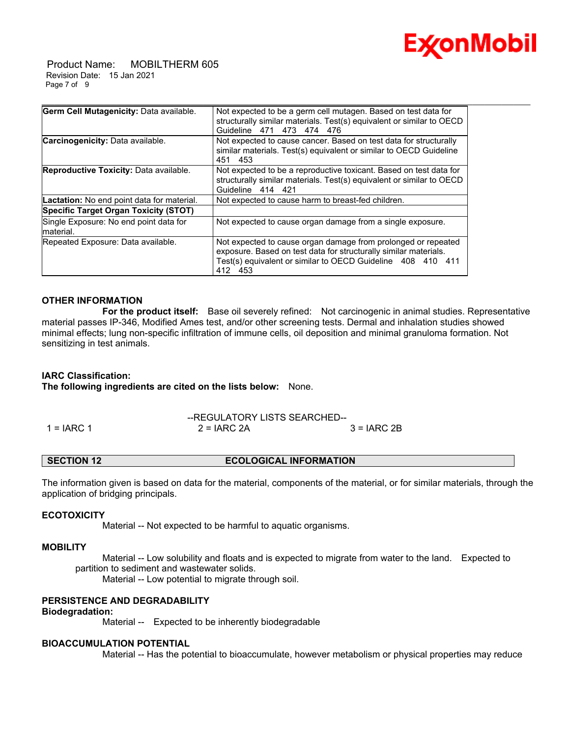

 Product Name: MOBILTHERM 605 Revision Date: 15 Jan 2021 Page 7 of 9

| Germ Cell Mutagenicity: Data available.             | Not expected to be a germ cell mutagen. Based on test data for<br>structurally similar materials. Test(s) equivalent or similar to OECD<br>Guideline 471 473 474 476                                        |
|-----------------------------------------------------|-------------------------------------------------------------------------------------------------------------------------------------------------------------------------------------------------------------|
| Carcinogenicity: Data available.                    | Not expected to cause cancer. Based on test data for structurally<br>similar materials. Test(s) equivalent or similar to OECD Guideline<br>451 453                                                          |
| Reproductive Toxicity: Data available.              | Not expected to be a reproductive toxicant. Based on test data for<br>structurally similar materials. Test(s) equivalent or similar to OECD<br>Guideline 414 421                                            |
| Lactation: No end point data for material.          | Not expected to cause harm to breast-fed children.                                                                                                                                                          |
| Specific Target Organ Toxicity (STOT)               |                                                                                                                                                                                                             |
| Single Exposure: No end point data for<br>material. | Not expected to cause organ damage from a single exposure.                                                                                                                                                  |
| Repeated Exposure: Data available.                  | Not expected to cause organ damage from prolonged or repeated<br>exposure. Based on test data for structurally similar materials.<br>Test(s) equivalent or similar to OECD Guideline 408 410 411<br>412 453 |

#### **OTHER INFORMATION**

 **For the product itself:** Base oil severely refined: Not carcinogenic in animal studies. Representative material passes IP-346, Modified Ames test, and/or other screening tests. Dermal and inhalation studies showed minimal effects; lung non-specific infiltration of immune cells, oil deposition and minimal granuloma formation. Not sensitizing in test animals.

#### **IARC Classification:**

**The following ingredients are cited on the lists below:** None.

--REGULATORY LISTS SEARCHED-- 1 = IARC 1 2 = IARC 2A 3 = IARC 2B

### **SECTION 12 ECOLOGICAL INFORMATION**

The information given is based on data for the material, components of the material, or for similar materials, through the application of bridging principals.

#### **ECOTOXICITY**

Material -- Not expected to be harmful to aquatic organisms.

#### **MOBILITY**

 Material -- Low solubility and floats and is expected to migrate from water to the land. Expected to partition to sediment and wastewater solids.

Material -- Low potential to migrate through soil.

#### **PERSISTENCE AND DEGRADABILITY**

#### **Biodegradation:**

Material -- Expected to be inherently biodegradable

#### **BIOACCUMULATION POTENTIAL**

Material -- Has the potential to bioaccumulate, however metabolism or physical properties may reduce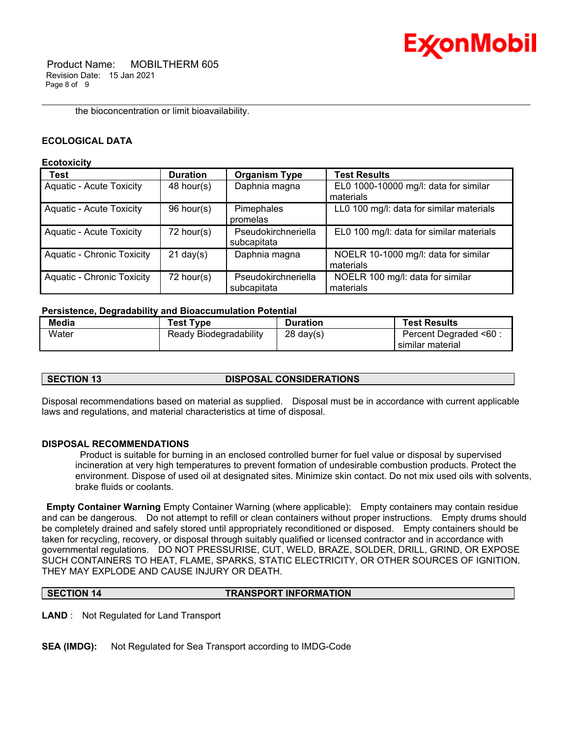

the bioconcentration or limit bioavailability.

### **ECOLOGICAL DATA**

#### **Ecotoxicity**

| <b>Test</b>                       | <b>Duration</b>     | <b>Organism Type</b> | <b>Test Results</b>                      |
|-----------------------------------|---------------------|----------------------|------------------------------------------|
| <b>Aquatic - Acute Toxicity</b>   | 48 hour(s)          | Daphnia magna        | EL0 1000-10000 mg/l: data for similar    |
|                                   |                     |                      | materials                                |
| <b>Aquatic - Acute Toxicity</b>   | 96 hour(s)          | Pimephales           | LL0 100 mg/l: data for similar materials |
|                                   |                     | promelas             |                                          |
| <b>Aquatic - Acute Toxicity</b>   | 72 hour(s)          | Pseudokirchneriella  | EL0 100 mg/l: data for similar materials |
|                                   |                     | subcapitata          |                                          |
| <b>Aquatic - Chronic Toxicity</b> | $21 \text{ day}(s)$ | Daphnia magna        | NOELR 10-1000 mg/l: data for similar     |
|                                   |                     |                      | materials                                |
| <b>Aquatic - Chronic Toxicity</b> | $72$ hour(s)        | Pseudokirchneriella  | NOELR 100 mg/l: data for similar         |
|                                   |                     | subcapitata          | materials                                |

\_\_\_\_\_\_\_\_\_\_\_\_\_\_\_\_\_\_\_\_\_\_\_\_\_\_\_\_\_\_\_\_\_\_\_\_\_\_\_\_\_\_\_\_\_\_\_\_\_\_\_\_\_\_\_\_\_\_\_\_\_\_\_\_\_\_\_\_\_\_\_\_\_\_\_\_\_\_\_\_\_\_\_\_\_\_\_\_\_\_\_\_\_\_\_\_\_\_\_\_\_\_\_\_\_\_\_\_\_\_\_\_\_\_\_\_\_\_

#### **Persistence, Degradability and Bioaccumulation Potential**

| Media | <b>Test Type</b>       | <b>Duration</b>     | <b>Test Results</b>    |
|-------|------------------------|---------------------|------------------------|
| Water | Ready Biodegradability | $28 \text{ day}(s)$ | Percent Degraded <60 : |
|       |                        |                     | similar material       |

#### **SECTION 13 DISPOSAL CONSIDERATIONS**

Disposal recommendations based on material as supplied. Disposal must be in accordance with current applicable laws and regulations, and material characteristics at time of disposal.

#### **DISPOSAL RECOMMENDATIONS**

 Product is suitable for burning in an enclosed controlled burner for fuel value or disposal by supervised incineration at very high temperatures to prevent formation of undesirable combustion products. Protect the environment. Dispose of used oil at designated sites. Minimize skin contact. Do not mix used oils with solvents, brake fluids or coolants.

**Empty Container Warning** Empty Container Warning (where applicable): Empty containers may contain residue and can be dangerous. Do not attempt to refill or clean containers without proper instructions. Empty drums should be completely drained and safely stored until appropriately reconditioned or disposed. Empty containers should be taken for recycling, recovery, or disposal through suitably qualified or licensed contractor and in accordance with governmental regulations. DO NOT PRESSURISE, CUT, WELD, BRAZE, SOLDER, DRILL, GRIND, OR EXPOSE SUCH CONTAINERS TO HEAT, FLAME, SPARKS, STATIC ELECTRICITY, OR OTHER SOURCES OF IGNITION. THEY MAY EXPLODE AND CAUSE INJURY OR DEATH.

**SECTION 14 TRANSPORT INFORMATION** 

**LAND** : Not Regulated for Land Transport

**SEA (IMDG):** Not Regulated for Sea Transport according to IMDG-Code